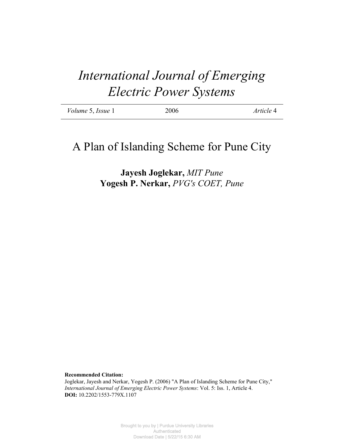# *International Journal of Emerging Electric Power Systems*

| Volume 5, Issue 1 | 2006 | Article 4 |
|-------------------|------|-----------|
|                   |      |           |

# A Plan of Islanding Scheme for Pune City

**Jayesh Joglekar,** *MIT Pune* **Yogesh P. Nerkar,** *PVG's COET, Pune*

**Recommended Citation:**

Joglekar, Jayesh and Nerkar, Yogesh P. (2006) "A Plan of Islanding Scheme for Pune City," *International Journal of Emerging Electric Power Systems*: Vol. 5: Iss. 1, Article 4. **DOI:** 10.2202/1553-779X.1107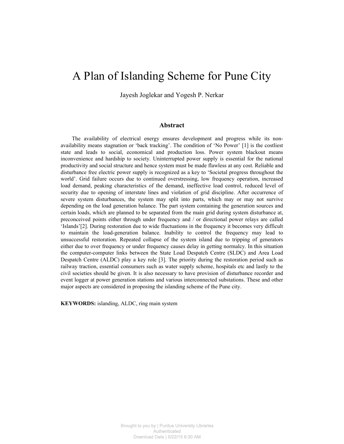# A Plan of Islanding Scheme for Pune City

Jayesh Joglekar and Yogesh P. Nerkar

#### **Abstract**

The availability of electrical energy ensures development and progress while its nonavailability means stagnation or 'back tracking'. The condition of 'No Power' [1] is the costliest state and leads to social, economical and production loss. Power system blackout means inconvenience and hardship to society. Uninterrupted power supply is essential for the national productivity and social structure and hence system must be made flawless at any cost. Reliable and disturbance free electric power supply is recognized as a key to 'Societal progress throughout the world'. Grid failure occurs due to continued overstressing, low frequency operation, increased load demand, peaking characteristics of the demand, ineffective load control, reduced level of security due to opening of interstate lines and violation of grid discipline. After occurrence of severe system disturbances, the system may split into parts, which may or may not survive depending on the load generation balance. The part system containing the generation sources and certain loads, which are planned to be separated from the main grid during system disturbance at, preconceived points either through under frequency and / or directional power relays are called 'Islands'[2]. During restoration due to wide fluctuations in the frequency it becomes very difficult to maintain the load-generation balance. Inability to control the frequency may lead to unsuccessful restoration. Repeated collapse of the system island due to tripping of generators either due to over frequency or under frequency causes delay in getting normalcy. In this situation the computer-computer links between the State Load Despatch Centre (SLDC) and Area Load Despatch Centre (ALDC) play a key role [3]. The priority during the restoration period such as railway traction, essential consumers such as water supply scheme, hospitals etc and lastly to the civil societies should be given. It is also necessary to have provision of disturbance recorder and event logger at power generation stations and various interconnected substations. These and other major aspects are considered in proposing the islanding scheme of the Pune city.

**KEYWORDS:** islanding, ALDC, ring main system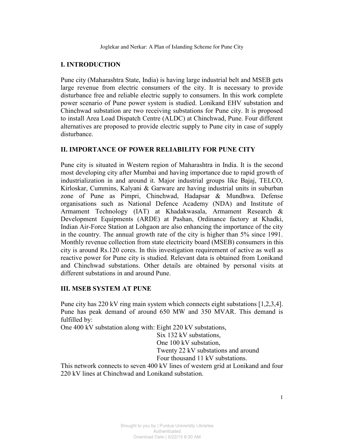### **I. INTRODUCTION**

Pune city (Maharashtra State, India) is having large industrial belt and MSEB gets large revenue from electric consumers of the city. It is necessary to provide disturbance free and reliable electric supply to consumers. In this work complete power scenario of Pune power system is studied. Lonikand EHV substation and Chinchwad substation are two receiving substations for Pune city. It is proposed to install Area Load Dispatch Centre (ALDC) at Chinchwad, Pune. Four different alternatives are proposed to provide electric supply to Pune city in case of supply disturbance

#### II. IMPORTANCE OF POWER RELIABILITY FOR PUNE CITY

Pune city is situated in Western region of Maharashtra in India. It is the second most developing city after Mumbai and having importance due to rapid growth of industrialization in and around it. Major industrial groups like Bajaj, TELCO, Kirloskar, Cummins, Kalyani & Garware are having industrial units in suburban zone of Pune as Pimpri, Chinchwad, Hadapsar & Mundhwa. Defense organisations such as National Defence Academy (NDA) and Institute of Armament Technology (IAT) at Khadakwasala, Armament Research & Development Equipments (ARDE) at Pashan, Ordinance factory at Khadki, Indian Air-Force Station at Lohgaon are also enhancing the importance of the city in the country. The annual growth rate of the city is higher than 5% since 1991. Monthly revenue collection from state electricity board (MSEB) consumers in this city is around Rs.120 cores. In this investigation requirement of active as well as reactive power for Pune city is studied. Relevant data is obtained from Lonikand and Chinchwad substations. Other details are obtained by personal visits at different substations in and around Pune.

#### **III. MSEB SYSTEM AT PUNE**

Pune city has 220 kV ring main system which connects eight substations [1,2,3,4]. Pune has peak demand of around 650 MW and 350 MVAR. This demand is fulfilled by:

One 400 kV substation along with: Eight 220 kV substations,

Six 132 kV substations, One 100 kV substation. Twenty 22 kV substations and around Four thousand 11 kV substations.

This network connects to seven 400 kV lines of western grid at Lonikand and four 220 kV lines at Chinchwad and Lonikand substation.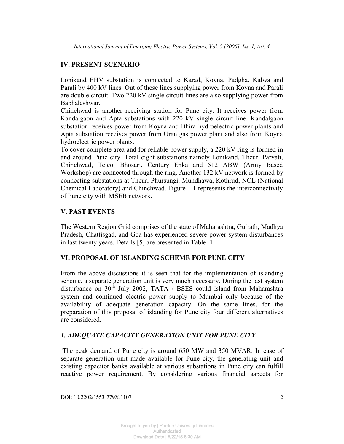# **IV. PRESENT SCENARIO**

Lonikand EHV substation is connected to Karad, Koyna, Padgha, Kalwa and Parali by 400 kV lines. Out of these lines supplying power from Koyna and Parali are double circuit. Two 220 kV single circuit lines are also supplying power from Babhaleshwar.

Chinchwad is another receiving station for Pune city. It receives power from Kandalgaon and Apta substations with 220 kV single circuit line. Kandalgaon substation receives power from Koyna and Bhira hydroelectric power plants and Apta substation receives power from Uran gas power plant and also from Koyna hydroelectric power plants.

To cover complete area and for reliable power supply, a 220 kV ring is formed in and around Pune city. Total eight substations namely Lonikand, Theur, Parvati, Chinchwad, Telco, Bhosari, Century Enka and 512 ABW (Army Based Workshop) are connected through the ring. Another 132 kV network is formed by connecting substations at Theur, Phursungi, Mundhawa, Kothrud, NCL (National Chemical Laboratory) and Chinchwad. Figure  $-1$  represents the interconnectivity of Pune city with MSEB network.

# **V. PAST EVENTS**

The Western Region Grid comprises of the state of Maharashtra, Gujrath, Madhya Pradesh, Chattisgad, and Goa has experienced severe power system disturbances in last twenty years. Details [5] are presented in Table: 1

#### VI. PROPOSAL OF ISLANDING SCHEME FOR PUNE CITY

From the above discussions it is seen that for the implementation of islanding scheme, a separate generation unit is very much necessary. During the last system disturbance on 30<sup>th</sup> July 2002, TATA / BSES could island from Maharashtra system and continued electric power supply to Mumbai only because of the availability of adequate generation capacity. On the same lines, for the preparation of this proposal of islanding for Pune city four different alternatives are considered.

# **1. ADEQUATE CAPACITY GENERATION UNIT FOR PUNE CITY**

The peak demand of Pune city is around 650 MW and 350 MVAR. In case of separate generation unit made available for Pune city, the generating unit and existing capacitor banks available at various substations in Pune city can fulfill reactive power requirement. By considering various financial aspects for

DOI: 10.2202/1553-779X.1107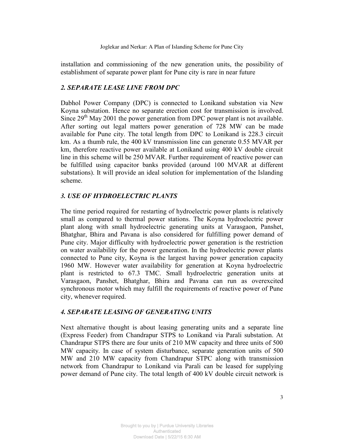installation and commissioning of the new generation units, the possibility of establishment of separate power plant for Pune city is rare in near future

#### 2. SEPARATE LEASE LINE FROM DPC

Dabhol Power Company (DPC) is connected to Lonikand substation via New Koyna substation. Hence no separate erection cost for transmission is involved. Since  $29<sup>th</sup>$  May 2001 the power generation from DPC power plant is not available. After sorting out legal matters power generation of 728 MW can be made available for Pune city. The total length from DPC to Lonikand is 228.3 circuit km. As a thumb rule, the 400 kV transmission line can generate 0.55 MVAR per km, therefore reactive power available at Lonikand using 400 kV double circuit line in this scheme will be 250 MVAR. Further requirement of reactive power can be fulfilled using capacitor banks provided (around 100 MVAR at different substations). It will provide an ideal solution for implementation of the Islanding scheme

# 3. USE OF HYDROELECTRIC PLANTS

The time period required for restarting of hydroelectric power plants is relatively small as compared to thermal power stations. The Koyna hydroelectric power plant along with small hydroelectric generating units at Varasgaon, Panshet, Bhatghar, Bhira and Pavana is also considered for fulfilling power demand of Pune city. Major difficulty with hydroelectric power generation is the restriction on water availability for the power generation. In the hydroelectric power plants connected to Pune city, Koyna is the largest having power generation capacity 1960 MW. However water availability for generation at Koyna hydroelectric plant is restricted to 67.3 TMC. Small hydroelectric generation units at Varasgaon, Panshet, Bhatghar, Bhira and Pavana can run as overexcited synchronous motor which may fulfill the requirements of reactive power of Pune city, whenever required.

# **4. SEPARATE LEASING OF GENERATING UNITS**

Next alternative thought is about leasing generating units and a separate line (Express Feeder) from Chandrapur STPS to Lonikand via Parali substation. At Chandrapur STPS there are four units of 210 MW capacity and three units of 500 MW capacity. In case of system disturbance, separate generation units of 500 MW and 210 MW capacity from Chandrapur STPC along with transmission network from Chandrapur to Lonikand via Parali can be leased for supplying power demand of Pune city. The total length of 400 kV double circuit network is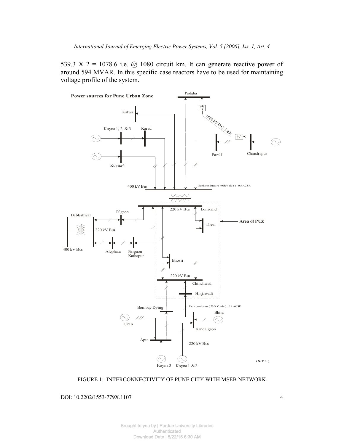539.3 X 2 = 1078.6 i.e.  $\omega$  1080 circuit km. It can generate reactive power of around 594 MVAR. In this specific case reactors have to be used for maintaining voltage profile of the system.



FIGURE 1: INTERCONNECTIVITY OF PUNE CITY WITH MSEB NETWORK

DOI: 10.2202/1553-779X.1107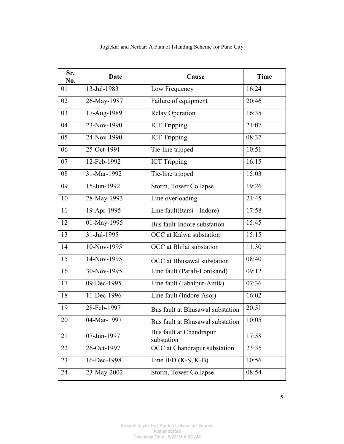| Sr.<br>No. | <b>Date</b> | Cause                                 | <b>Time</b> |
|------------|-------------|---------------------------------------|-------------|
| 01         | 13-Jul-1983 | Low Frequency                         | 16:24       |
| 02         | 26-May-1987 | Failure of equipment                  | 20:46       |
| 03         | 17-Aug-1989 | <b>Relay Operation</b>                | 16:35       |
| 04         | 23-Nov-1990 | <b>ICT Tripping</b>                   | 21:07       |
| 05         | 24-Nov-1990 | <b>ICT Tripping</b>                   | 08:37       |
| 06         | 25-Oct-1991 | Tie-line tripped                      | 10:51       |
| 07         | 12-Feb-1992 | <b>ICT Tripping</b>                   | 16:15       |
| 08         | 31-Mar-1992 | Tie-line tripped                      | 15:03       |
| 09         | 15-Jun-1992 | Storm, Tower Collapse                 | 19:26       |
| 10         | 28-May-1993 | Line overloading                      | 21:45       |
| 11         | 19-Apr-1995 | Line fault(Itarsi - Indore)           | 17:58       |
| 12         | 01-May-1995 | Bus fault-Indore substation           | 15:45       |
| 13         | 31-Jul-1995 | OCC at Kalwa substation               | 15:15       |
| 14         | 10-Nov-1995 | OCC at Bhilai substation              | 11:30       |
| 15         | 14-Nov-1995 | OCC at Bhusawal substation            | 08:40       |
| 16         | 30-Nov-1995 | Line fault (Parali-Lonikand)          | 09:12       |
| 17         | 09-Dec-1995 | Line fault (Jabalpur-Amtk)            | 07:36       |
| 18         | 11-Dec-1996 | Line fault (Indore-Asoj)              | 16:02       |
| 19         | 28-Feb-1997 | Bus fault at Bhusawal substation      | 20:51       |
| 20         | 04-Mar-1997 | Bus fault at Bhusawal substation      | 10:05       |
| 21         | 07-Jun-1997 | Bus fault at Chandrapur<br>substation | 17:58       |
| 22         | 26-Oct-1997 | OCC at Chandrapur substation          | 23:35       |
| 23         | 16-Dec-1998 | Line $B/D$ (K-S, K-B)                 | 10:56       |
| 24         | 23-May-2002 | Storm, Tower Collapse                 | 08:54       |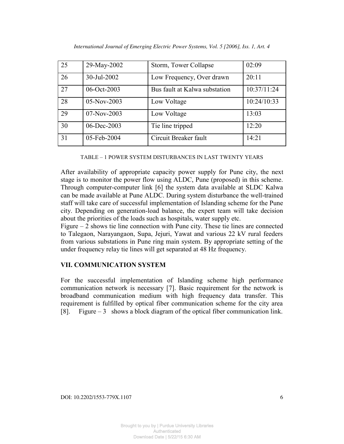| 25 | 29-May-2002 | Storm, Tower Collapse         | 02:09       |
|----|-------------|-------------------------------|-------------|
| 26 | 30-Jul-2002 | Low Frequency, Over drawn     | 20:11       |
| 27 | 06-Oct-2003 | Bus fault at Kalwa substation | 10:37/11:24 |
| 28 | 05-Nov-2003 | Low Voltage                   | 10:24/10:33 |
| 29 | 07-Nov-2003 | Low Voltage                   | 13:03       |
| 30 | 06-Dec-2003 | Tie line tripped              | 12:20       |
| 31 | 05-Feb-2004 | Circuit Breaker fault         | 14:21       |

TABLE – 1 POWER SYSTEM DISTURBANCES IN LAST TWENTY YEARS

After availability of appropriate capacity power supply for Pune city, the next stage is to monitor the power flow using ALDC, Pune (proposed) in this scheme. Through computer-computer link [6] the system data available at SLDC Kalwa can be made available at Pune ALDC. During system disturbance the well-trained staff will take care of successful implementation of Islanding scheme for the Pune city. Depending on generation-load balance, the expert team will take decision about the priorities of the loads such as hospitals, water supply etc.

Figure  $-2$  shows tie line connection with Pune city. These tie lines are connected to Talegaon, Narayangaon, Supa, Jejuri, Yawat and various 22 kV rural feeders from various substations in Pune ring main system. By appropriate setting of the under frequency relay tie lines will get separated at 48 Hz frequency.

# VII. COMMUNICATION SYSTEM

For the successful implementation of Islanding scheme high performance communication network is necessary [7]. Basic requirement for the network is broadband communication medium with high frequency data transfer. This requirement is fulfilled by optical fiber communication scheme for the city area [8]. Figure  $-3$  shows a block diagram of the optical fiber communication link.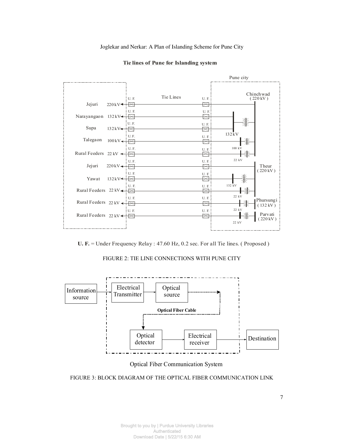



 $U$ . F. = Under Frequency Relay : 47.60 Hz, 0.2 sec. For all Tie lines. (Proposed)

FIGURE 2: TIE LINE CONNECTIONS WITH PUNE CITY



Optical Fiber Communication System

FIGURE 3: BLOCK DIAGRAM OF THE OPTICAL FIBER COMMUNICATION LINK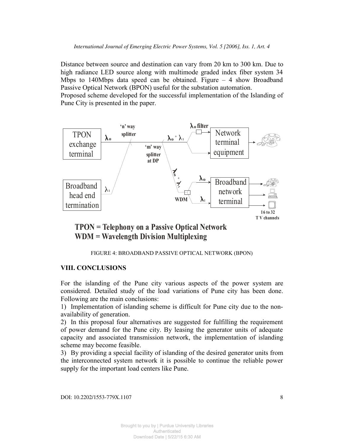Distance between source and destination can vary from 20 km to 300 km. Due to high radiance LED source along with multimode graded index fiber system 34 Mbps to 140Mbps data speed can be obtained. Figure  $-$  4 show Broadband Passive Optical Network (BPON) useful for the substation automation. Proposed scheme developed for the successful implementation of the Islanding of Pune City is presented in the paper.



TPON = Telephony on a Passive Optical Network  $WDM = Wavelength Division Multiplexing$ 

FIGURE 4: BROADBAND PASSIVE OPTICAL NETWORK (BPON)

# **VIII. CONCLUSIONS**

For the islanding of the Pune city various aspects of the power system are considered. Detailed study of the load variations of Pune city has been done. Following are the main conclusions:

1) Implementation of islanding scheme is difficult for Pune city due to the nonavailability of generation.

2) In this proposal four alternatives are suggested for fulfilling the requirement of power demand for the Pune city. By leasing the generator units of adequate capacity and associated transmission network, the implementation of islanding scheme may become feasible.

3) By providing a special facility of islanding of the desired generator units from the interconnected system network it is possible to continue the reliable power supply for the important load centers like Pune.

DOI: 10.2202/1553-779X.1107